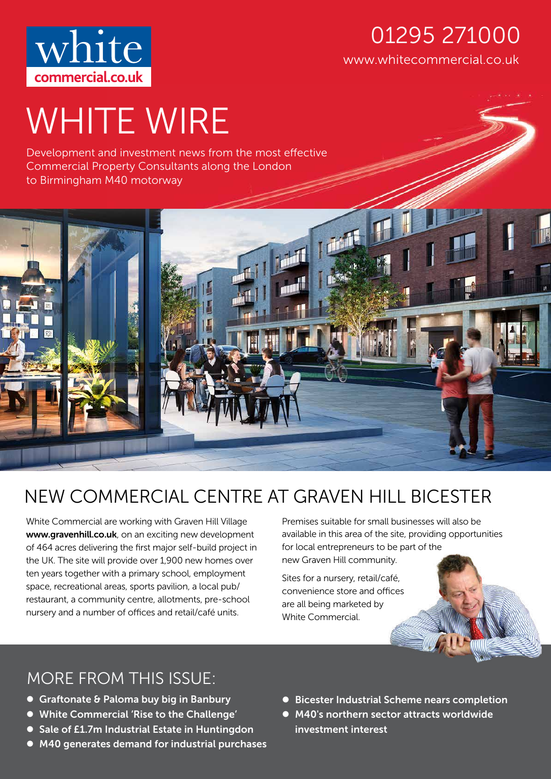

## www.whitecommercial.co.uk 01295 271000

# WHITE WIRE

Development and investment news from the most effective Commercial Property Consultants along the London to Birmingham M40 motorway



# NEW COMMERCIAL CENTRE AT GRAVEN HILL BICESTER

White Commercial are working with Graven Hill Village www.gravenhill.co.uk, on an exciting new development of 464 acres delivering the first major self-build project in the UK. The site will provide over 1,900 new homes over ten years together with a primary school, employment space, recreational areas, sports pavilion, a local pub/ restaurant, a community centre, allotments, pre-school nursery and a number of offices and retail/café units.

Premises suitable for small businesses will also be available in this area of the site, providing opportunities for local entrepreneurs to be part of the new Graven Hill community.

Sites for a nursery, retail/café, convenience store and offices are all being marketed by White Commercial.

#### MORE FROM THIS ISSUE:

- Graftonate & Paloma buy big in Banbury
- White Commercial 'Rise to the Challenge'
- Sale of £1.7m Industrial Estate in Huntingdon
- M40 generates demand for industrial purchases
- Bicester Industrial Scheme nears completion
- M40's northern sector attracts worldwide investment interest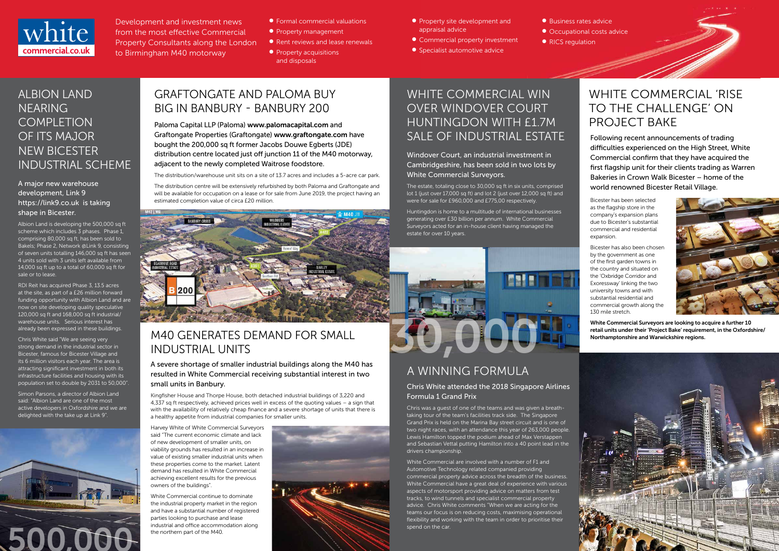

Development and investment news from the most effective Commercial Property Consultants along the London to Birmingham M40 motorway

- Formal commercial valuations
- **•** Property management
- Rent reviews and lease renewals
- Property acquisitions and disposals
- **•** Property site development and appraisal advice
- Commercial property investment
- **•** Specialist automotive advice

● Business rates advice

- Occupational costs advice
- 
- 

• RICS regulation

## GRAFTONGATE AND PALOMA BUY BIG IN BANBURY - BANBURY 200

#### WHITE COMMERCIAL WIN OVER WINDOVER COURT HUNTINGDON WITH £1.7M SALE OF INDUSTRIAL ESTATE

Windover Court, an industrial investment in Cambridgeshire, has been sold in two lots by White Commercial Surveyors.

The estate, totaling close to 30,000 sq ft in six units, comprised lot 1 (just over 17,000 sq ft) and lot 2 (just over 12,000 sq ft) and

Huntingdon is home to a multitude of international businesses generating over £30 billion per annum. White Commercial Surveyors acted for an in-house client having managed the estate for over 10 years.

#### M40 GENERATES DEMAND FOR SMALL INDUSTRIAL UNITS

A severe shortage of smaller industrial buildings along the M40 has resulted in White Commercial receiving substantial interest in two small units in Banbury.

Kingfisher House and Thorpe House, both detached industrial buildings of 3,220 and 4,337 sq ft respectively, achieved prices well in excess of the quoting values – a sign that with the availability of relatively cheap finance and a severe shortage of units that there is a healthy appetite from industrial companies for smaller units.

Harvey White of White Commercial Surveyors said "The current economic climate and lack of new development of smaller units, on viability grounds has resulted in an increase in value of existing smaller industrial units when these properties come to the market. Latent demand has resulted in White Commercial achieving excellent results for the previous owners of the buildings".

White Commercial continue to dominate the industrial property market in the region and have a substantial number of registered parties looking to purchase and lease industrial and office accommodation along the northern part of the M40.



estimated completion value of circa £20 million. **Exercise 1960 and 20 and 20 million** were for sale for £960,000 and £775,00 respectively. Bicester has been selected The distribution centre will be extensively refurbished by both Paloma and Graftongate and will be available for occupation on a lease or for sale from June 2019, the project having an



#### WHITE COMMERCIAL 'RISE TO THE CHALLENGE' ON PROJECT BAKE

Following recent announcements of trading difficulties experienced on the High Street, White Commercial confirm that they have acquired the first flagship unit for their clients trading as Warren Bakeries in Crown Walk Bicester – home of the world renowned Bicester Retail Village.

#### ALBION LAND NEARING **COMPLETION** OF ITS MAJOR NEW BICESTER INDUSTRIAL SCHEME

#### A major new warehouse development, Link 9 https://link9.co.uk is taking shape in Bicester.

Albion Land is developing the 500,000 sq ft scheme which includes 3 phases. Phase 1, comprising 80,000 sq ft, has been sold to Bakels; Phase 2, Network @Link 9, consisting of seven units totalling 146,000 sq ft has seen 4 units sold with 3 units left available from 14,000 sq ft up to a total of 60,000 sq ft for sale or to lease.

RDI Reit has acquired Phase 3, 13.5 acres at the site, as part of a £26 million forward funding opportunity with Albion Land and are now on site developing quality speculative 120,000 sq ft and 168,000 sq ft industrial/ warehouse units. Serious interest has already been expressed in these buildings.

Chris White said "We are seeing very strong demand in the industrial sector in Bicester, famous for Bicester Village and its 6 million visitors each year. The area is attracting significant investment in both its infrastructure facilities and housing with its population set to double by 2031 to 50,000".

Simon Parsons, a director of Albion Land said: "Albion Land are one of the most active developers in Oxfordshire and we are delighted with the take up at Link 9".

Paloma Capital LLP (Paloma) www.palomacapital.com and Graftongate Properties (Graftongate) www.graftongate.com have bought the 200,000 sq ft former Jacobs Douwe Egberts (JDE) distribution centre located just off junction 11 of the M40 motorway, adjacent to the newly completed Waitrose foodstore.

The distribution/warehouse unit sits on a site of 13.7 acres and includes a 5-acre car park.

as the flagship store in the company's expansion plans due to Bicester's substantial commercial and residential expansion.

Bicester has also been chosen by the government as one of the first garden towns in the country and situated on the 'Oxbridge Corridor and Exoressway' linking the two university towns and with substantial residential and commercial growth along the 130 mile stretch.



White Commercial Surveyors are looking to acquire a further 10 retail units under their 'Project Bake' requirement, in the Oxfordshire/ Northamptonshire and Warwickshire regions.



## A WINNING FORMULA

#### Chris White attended the 2018 Singapore Airlines Formula 1 Grand Prix

Chris was a guest of one of the teams and was given a breathtaking tour of the team's facilities track side. The Singapore Grand Prix is held on the Marina Bay street circuit and is one of two night races, with an attendance this year of 263,000 people. Lewis Hamilton topped the podium ahead of Max Verstappen and Sebastian Vettal putting Hamilton into a 40 point lead in the drivers championship.

White Commercial are involved with a number of F1 and Automotive Technology related companied providing commercial property advice across the breadth of the business. White Commercial have a great deal of experience with various aspects of motorsport providing advice on matters from test tracks, to wind tunnels and specialist commercial property advice. Chris White comments "When we are acting for the teams our focus is on reducing costs, maximising operational flexibility and working with the team in order to prioritise their